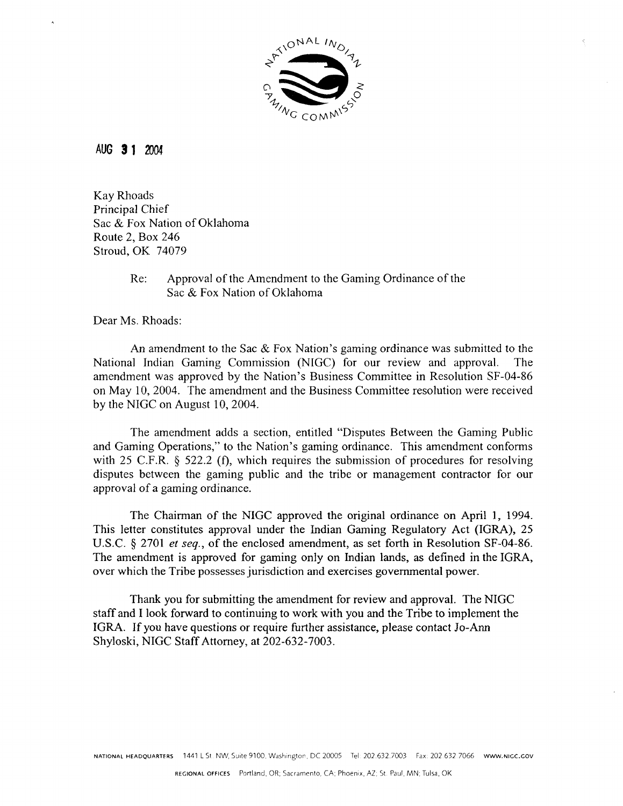

#### AUG 3 1 2004

**Kav Rhoads** Principal Chief Sac & Fox Nation of Oklahoma Route 2, Box 246 Stroud, OK 74079

#### Approval of the Amendment to the Gaming Ordinance of the  $Re:$ Sac & Fox Nation of Oklahoma

Dear Ms. Rhoads:

An amendment to the Sac  $\&$  Fox Nation's gaming ordinance was submitted to the National Indian Gaming Commission (NIGC) for our review and approval. The amendment was approved by the Nation's Business Committee in Resolution SF-04-86 on May 10, 2004. The amendment and the Business Committee resolution were received by the NIGC on August 10, 2004.

The amendment adds a section, entitled "Disputes Between the Gaming Public and Gaming Operations," to the Nation's gaming ordinance. This amendment conforms with 25 C.F.R.  $\S$  522.2 (f), which requires the submission of procedures for resolving disputes between the gaming public and the tribe or management contractor for our approval of a gaming ordinance.

The Chairman of the NIGC approved the original ordinance on April 1, 1994. This letter constitutes approval under the Indian Gaming Regulatory Act (IGRA), 25 U.S.C. § 2701 et seq., of the enclosed amendment, as set forth in Resolution SF-04-86. The amendment is approved for gaming only on Indian lands, as defined in the IGRA, over which the Tribe possesses jurisdiction and exercises governmental power.

Thank you for submitting the amendment for review and approval. The NIGC staff and I look forward to continuing to work with you and the Tribe to implement the IGRA. If you have questions or require further assistance, please contact Jo-Ann Shyloski, NIGC Staff Attorney, at 202-632-7003.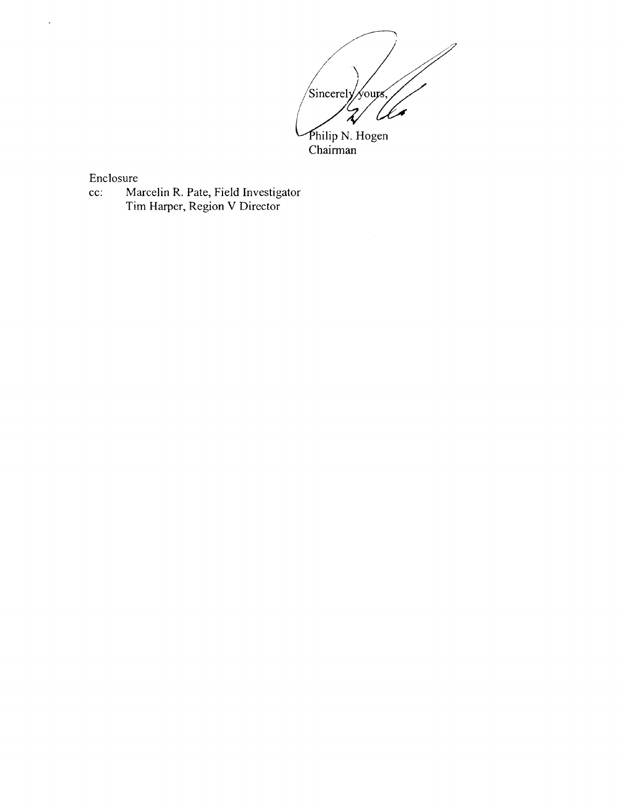Sincerely yours,  $\zeta$ Philip N. Hogen<br>Chairman

Enclosure

 $\bar{\mathcal{L}}$ 

Marcelin R. Pate, Field Investigator<br>Tim Harper, Region V Director  $cc$ :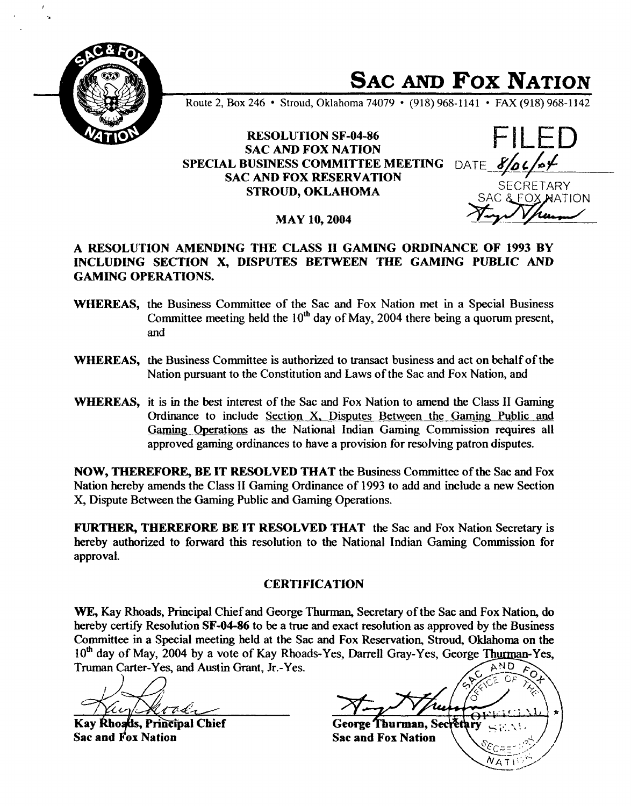

**SAC AND Fox NATION**

**Route 2, Box 246 Stroud, Oklahoma 74079 (918) 968-1141 FAX (918) 968-1142**

## **RESOLUTION SF-04-86 SAC AND FOX NATION SPECIAL BUSINESS COMMITtEE MEETING DATE \_\_\_\_ SAC AND FOX RESERVATION STROUD, OKLAHOMA**

**SECRETARY ~TION**

**MAY 10, <sup>2004</sup>**

# **A RESOLUTION AMENDING TIlE CLASS II GAMING ORDINANCE OF <sup>1993</sup> BY INCLUDING SECTION X, DISPUTES BETWEEN THE GAMING PUBLIC AND GAMING OPERATIONS.**

- **WHEREAS, the Business Committee of the Sac and Fox Nation met in <sup>a</sup> Special Business Committee meeting held the 1011) day of May, 2004 there being <sup>a</sup> quorum present, and**
- **WHEREAS, the Business Committee is authorized to transact business and act on behalf of the Nation pursuant to the Constitution and Laws of the Sac and Fox Nation, and**
- **WHEREAS, it is in the best interest of the Sac and Fox Nation to amend the Class II Gaming Ordinance to include Section X. Disputes Between the Gaming Public and Gaming Operations as the National Indian Gaming Commission requires all approved gaming ordinances to have a provision for resolving patron disputes.**

**NOW, THEREFORE, BE IT RESOLVED THAT the Business Committee of the Sac and Fox Nation hereby amends the Class II Gaming Ordinance of 1993 to add and include a new Section X, Dispute Between the Gaming Public and Gaming Operations.**

**FLJRTIIER, THEREFORE BE IT RESOLVED THAT the Sac and Fox Nation Secretary is hereby authorized to forward this resolution to the National Indian Gaming Commission for approval.**

### **CERTIFICATION**

**WE, Kay Rhoads, Principal Chief and George Thurman, Secretary of the Sac and Fox Nation, do hereby** certify Resolution **SF-04-86** to be a true and exact resolution as approved by the Business **Committee in a Special meeting held at the Sac and Fox Reservation, Stroud, Oldahoma on the 10th day of May, 2004 by <sup>a</sup> vote of Kay Rhoads-Yes, Darrell Gray-Yes, George Thurman-Yes, Truman Carter-Yes, and Austin Grant, Jr.-Yes.** AND

**Kay Rhoads, Principal Chief Sac and Fox Nation**

**George Thurman, Sect** ěth **Sac and Fox Nation**